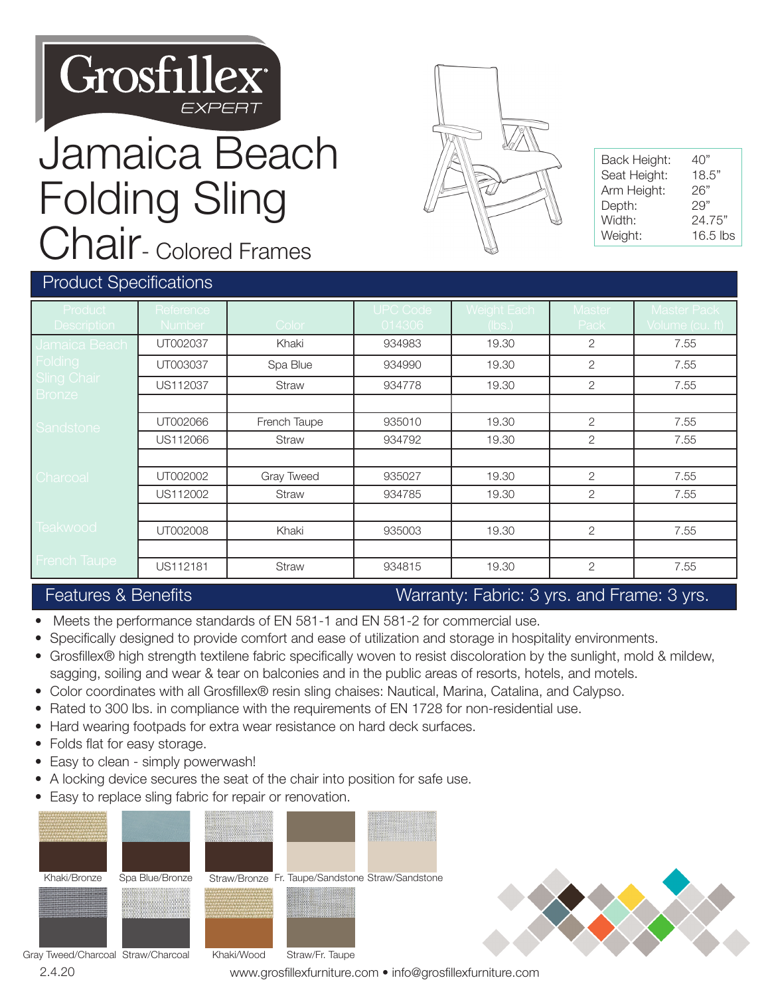

## Jamaica Beach Folding Sling Chair- Colored Frames



| Back Height: | 40"        |
|--------------|------------|
| Seat Height: | 18.5"      |
| Arm Height:  | 26"        |
| Depth:       | 29"        |
| Width:       | 24.75"     |
| Weight:      | $16.5$ lbs |

#### Product Specifications

| <b>Product</b>                          | Reference     |              | <b>UPC Code</b> | Weight Each | <b>Master</b>  | <b>Master Pack</b> |
|-----------------------------------------|---------------|--------------|-----------------|-------------|----------------|--------------------|
| <b>Description</b>                      | <b>Number</b> | Color        | 014306          | (lbs.)      | Pack           | Volume (cu. ft)    |
| Jamaica Beach                           | UT002037      | Khaki        | 934983          | 19.30       | $\overline{2}$ | 7.55               |
| Folding<br><b>Sling Chair</b><br>Bronze | UT003037      | Spa Blue     | 934990          | 19.30       | $\overline{2}$ | 7.55               |
|                                         | US112037      | Straw        | 934778          | 19.30       | $\overline{2}$ | 7.55               |
|                                         |               |              |                 |             |                |                    |
| Sandstone                               | UT002066      | French Taupe | 935010          | 19.30       | $\overline{2}$ | 7.55               |
|                                         | US112066      | Straw        | 934792          | 19.30       | 2              | 7.55               |
|                                         |               |              |                 |             |                |                    |
| Charcoal                                | UT002002      | Gray Tweed   | 935027          | 19.30       | $\overline{2}$ | 7.55               |
|                                         | US112002      | <b>Straw</b> | 934785          | 19.30       | $\overline{2}$ | 7.55               |
|                                         |               |              |                 |             |                |                    |
| Teakwood                                | UT002008      | Khaki        | 935003          | 19.30       | $\overline{2}$ | 7.55               |
|                                         |               |              |                 |             |                |                    |
| <b>French Taupe</b>                     | US112181      | Straw        | 934815          | 19.30       | $\overline{2}$ | 7.55               |

#### Features & Benefits Warranty: Fabric: 3 yrs. and Frame: 3 yrs.

- Meets the performance standards of EN 581-1 and EN 581-2 for commercial use.
- Specifically designed to provide comfort and ease of utilization and storage in hospitality environments.
- Grosfillex® high strength textilene fabric specifically woven to resist discoloration by the sunlight, mold & mildew, sagging, soiling and wear & tear on balconies and in the public areas of resorts, hotels, and motels.
- Color coordinates with all Grosfillex® resin sling chaises: Nautical, Marina, Catalina, and Calypso.
- Rated to 300 lbs. in compliance with the requirements of EN 1728 for non-residential use.
- Hard wearing footpads for extra wear resistance on hard deck surfaces.
- Folds flat for easy storage.
- Easy to clean simply powerwash!
- A locking device secures the seat of the chair into position for safe use.
- Easy to replace sling fabric for repair or renovation.





2.4.20 www.grosfillexfurniture.com • info@grosfillexfurniture.com